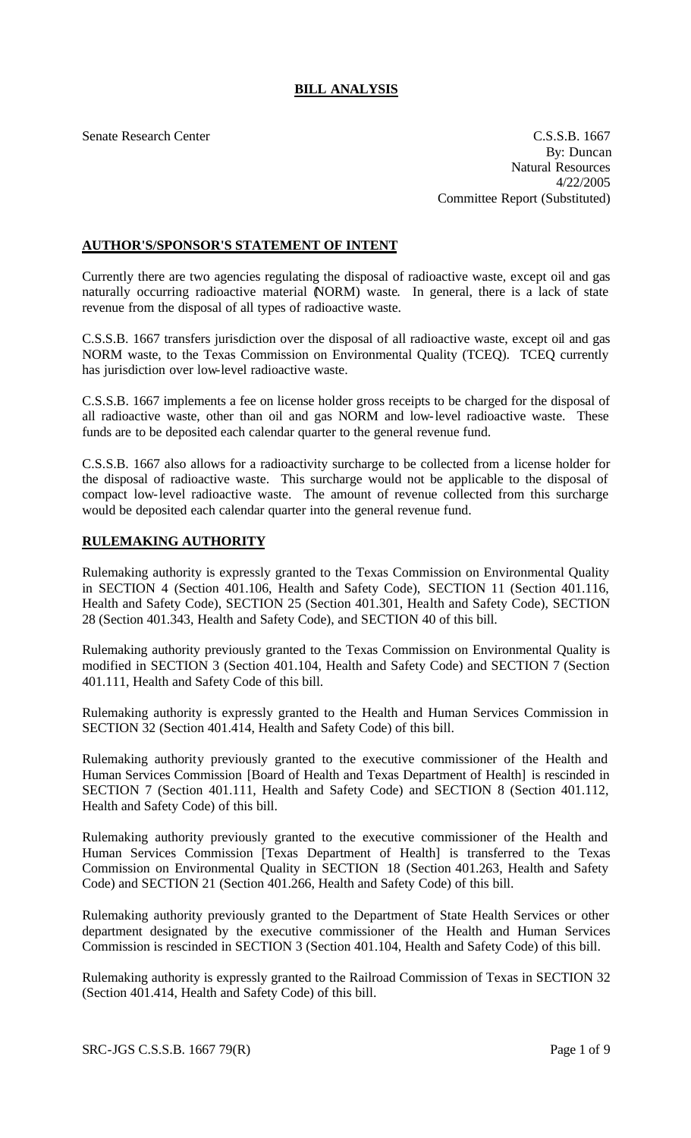# **BILL ANALYSIS**

Senate Research Center C.S.S.B. 1667 By: Duncan Natural Resources 4/22/2005 Committee Report (Substituted)

## **AUTHOR'S/SPONSOR'S STATEMENT OF INTENT**

Currently there are two agencies regulating the disposal of radioactive waste, except oil and gas naturally occurring radioactive material (NORM) waste. In general, there is a lack of state revenue from the disposal of all types of radioactive waste.

C.S.S.B. 1667 transfers jurisdiction over the disposal of all radioactive waste, except oil and gas NORM waste, to the Texas Commission on Environmental Quality (TCEQ). TCEQ currently has jurisdiction over low-level radioactive waste.

C.S.S.B. 1667 implements a fee on license holder gross receipts to be charged for the disposal of all radioactive waste, other than oil and gas NORM and low-level radioactive waste. These funds are to be deposited each calendar quarter to the general revenue fund.

C.S.S.B. 1667 also allows for a radioactivity surcharge to be collected from a license holder for the disposal of radioactive waste. This surcharge would not be applicable to the disposal of compact low-level radioactive waste. The amount of revenue collected from this surcharge would be deposited each calendar quarter into the general revenue fund.

### **RULEMAKING AUTHORITY**

Rulemaking authority is expressly granted to the Texas Commission on Environmental Quality in SECTION 4 (Section 401.106, Health and Safety Code), SECTION 11 (Section 401.116, Health and Safety Code), SECTION 25 (Section 401.301, Health and Safety Code), SECTION 28 (Section 401.343, Health and Safety Code), and SECTION 40 of this bill.

Rulemaking authority previously granted to the Texas Commission on Environmental Quality is modified in SECTION 3 (Section 401.104, Health and Safety Code) and SECTION 7 (Section 401.111, Health and Safety Code of this bill.

Rulemaking authority is expressly granted to the Health and Human Services Commission in SECTION 32 (Section 401.414, Health and Safety Code) of this bill.

Rulemaking authority previously granted to the executive commissioner of the Health and Human Services Commission [Board of Health and Texas Department of Health] is rescinded in SECTION 7 (Section 401.111, Health and Safety Code) and SECTION 8 (Section 401.112, Health and Safety Code) of this bill.

Rulemaking authority previously granted to the executive commissioner of the Health and Human Services Commission [Texas Department of Health] is transferred to the Texas Commission on Environmental Quality in SECTION 18 (Section 401.263, Health and Safety Code) and SECTION 21 (Section 401.266, Health and Safety Code) of this bill.

Rulemaking authority previously granted to the Department of State Health Services or other department designated by the executive commissioner of the Health and Human Services Commission is rescinded in SECTION 3 (Section 401.104, Health and Safety Code) of this bill.

Rulemaking authority is expressly granted to the Railroad Commission of Texas in SECTION 32 (Section 401.414, Health and Safety Code) of this bill.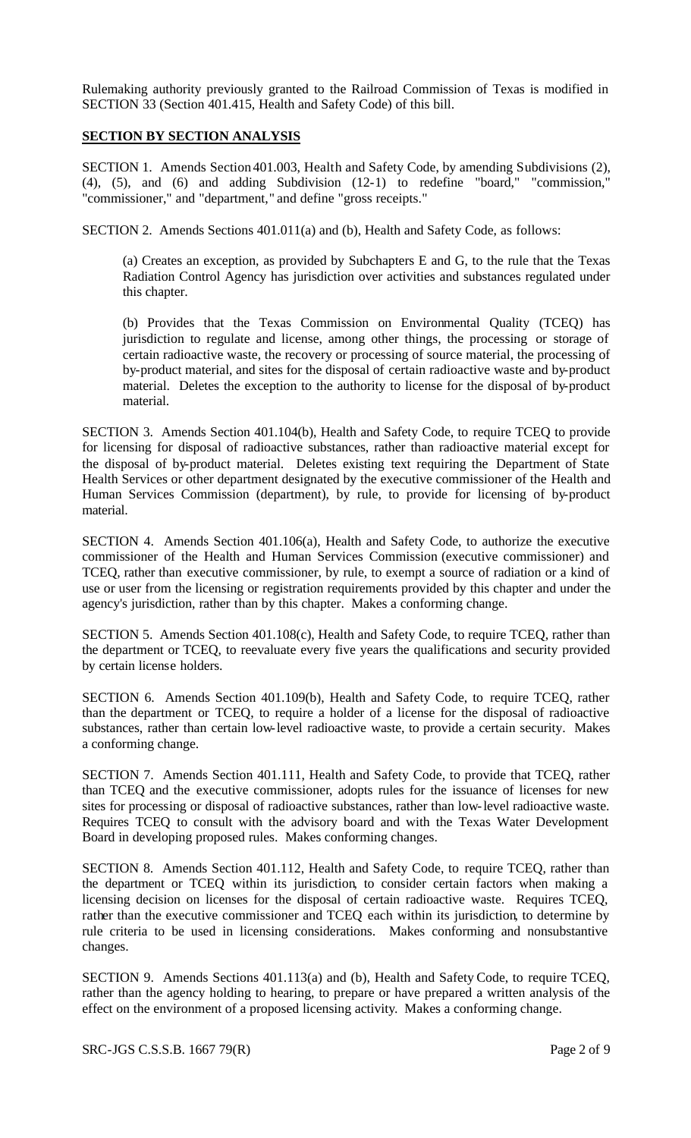Rulemaking authority previously granted to the Railroad Commission of Texas is modified in SECTION 33 (Section 401.415, Health and Safety Code) of this bill.

#### **SECTION BY SECTION ANALYSIS**

SECTION 1. Amends Section 401.003, Health and Safety Code, by amending Subdivisions (2), (4), (5), and (6) and adding Subdivision (12-1) to redefine "board," "commission," "commissioner," and "department," and define "gross receipts."

SECTION 2. Amends Sections 401.011(a) and (b), Health and Safety Code, as follows:

(a) Creates an exception, as provided by Subchapters E and G, to the rule that the Texas Radiation Control Agency has jurisdiction over activities and substances regulated under this chapter.

(b) Provides that the Texas Commission on Environmental Quality (TCEQ) has jurisdiction to regulate and license, among other things, the processing or storage of certain radioactive waste, the recovery or processing of source material, the processing of by-product material, and sites for the disposal of certain radioactive waste and by-product material. Deletes the exception to the authority to license for the disposal of by-product material.

SECTION 3. Amends Section 401.104(b), Health and Safety Code, to require TCEQ to provide for licensing for disposal of radioactive substances, rather than radioactive material except for the disposal of by-product material. Deletes existing text requiring the Department of State Health Services or other department designated by the executive commissioner of the Health and Human Services Commission (department), by rule, to provide for licensing of by-product material.

SECTION 4. Amends Section 401.106(a), Health and Safety Code, to authorize the executive commissioner of the Health and Human Services Commission (executive commissioner) and TCEQ, rather than executive commissioner, by rule, to exempt a source of radiation or a kind of use or user from the licensing or registration requirements provided by this chapter and under the agency's jurisdiction, rather than by this chapter. Makes a conforming change.

SECTION 5. Amends Section 401.108(c), Health and Safety Code, to require TCEQ, rather than the department or TCEQ, to reevaluate every five years the qualifications and security provided by certain license holders.

SECTION 6. Amends Section 401.109(b), Health and Safety Code, to require TCEQ, rather than the department or TCEQ, to require a holder of a license for the disposal of radioactive substances, rather than certain low-level radioactive waste, to provide a certain security. Makes a conforming change.

SECTION 7. Amends Section 401.111, Health and Safety Code, to provide that TCEQ, rather than TCEQ and the executive commissioner, adopts rules for the issuance of licenses for new sites for processing or disposal of radioactive substances, rather than low-level radioactive waste. Requires TCEQ to consult with the advisory board and with the Texas Water Development Board in developing proposed rules. Makes conforming changes.

SECTION 8. Amends Section 401.112, Health and Safety Code, to require TCEQ, rather than the department or TCEQ within its jurisdiction, to consider certain factors when making a licensing decision on licenses for the disposal of certain radioactive waste. Requires TCEQ, rather than the executive commissioner and TCEQ each within its jurisdiction, to determine by rule criteria to be used in licensing considerations. Makes conforming and nonsubstantive changes.

SECTION 9. Amends Sections 401.113(a) and (b), Health and Safety Code, to require TCEQ, rather than the agency holding to hearing, to prepare or have prepared a written analysis of the effect on the environment of a proposed licensing activity. Makes a conforming change.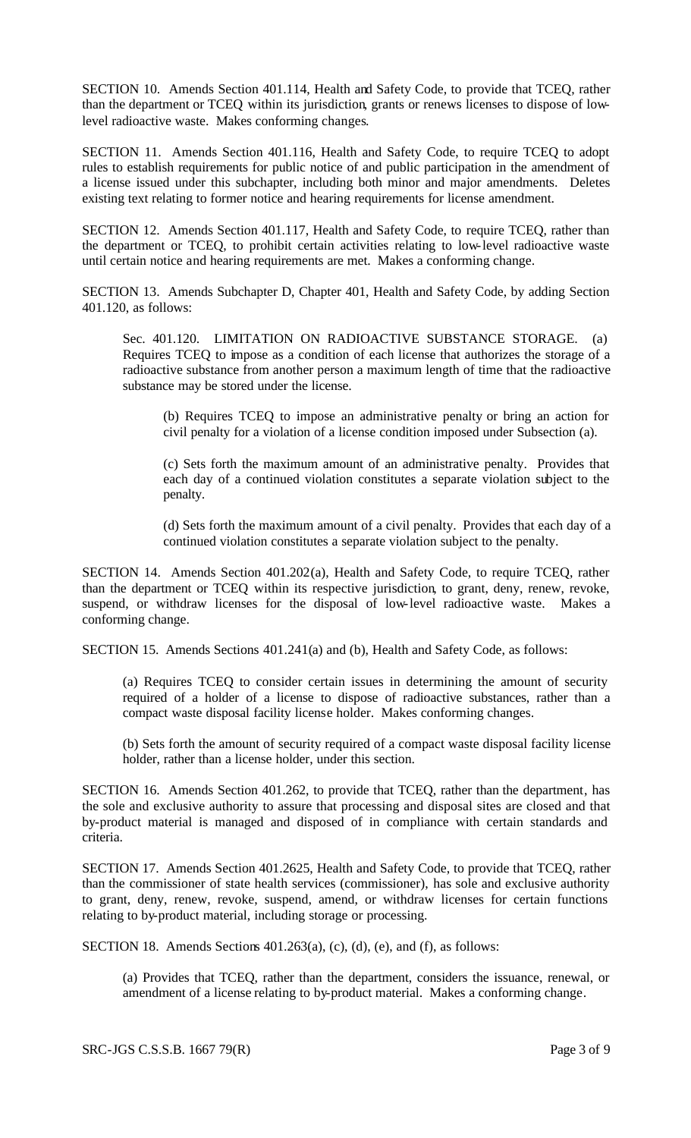SECTION 10. Amends Section 401.114, Health and Safety Code, to provide that TCEQ, rather than the department or TCEQ within its jurisdiction, grants or renews licenses to dispose of lowlevel radioactive waste. Makes conforming changes.

SECTION 11. Amends Section 401.116, Health and Safety Code, to require TCEQ to adopt rules to establish requirements for public notice of and public participation in the amendment of a license issued under this subchapter, including both minor and major amendments. Deletes existing text relating to former notice and hearing requirements for license amendment.

SECTION 12. Amends Section 401.117, Health and Safety Code, to require TCEQ, rather than the department or TCEQ, to prohibit certain activities relating to low-level radioactive waste until certain notice and hearing requirements are met. Makes a conforming change.

SECTION 13. Amends Subchapter D, Chapter 401, Health and Safety Code, by adding Section 401.120, as follows:

Sec. 401.120. LIMITATION ON RADIOACTIVE SUBSTANCE STORAGE. (a) Requires TCEQ to impose as a condition of each license that authorizes the storage of a radioactive substance from another person a maximum length of time that the radioactive substance may be stored under the license.

(b) Requires TCEQ to impose an administrative penalty or bring an action for civil penalty for a violation of a license condition imposed under Subsection (a).

(c) Sets forth the maximum amount of an administrative penalty. Provides that each day of a continued violation constitutes a separate violation subject to the penalty.

(d) Sets forth the maximum amount of a civil penalty. Provides that each day of a continued violation constitutes a separate violation subject to the penalty.

SECTION 14. Amends Section 401.202(a), Health and Safety Code, to require TCEQ, rather than the department or TCEQ within its respective jurisdiction, to grant, deny, renew, revoke, suspend, or withdraw licenses for the disposal of low-level radioactive waste. Makes a conforming change.

SECTION 15. Amends Sections 401.241(a) and (b), Health and Safety Code, as follows:

(a) Requires TCEQ to consider certain issues in determining the amount of security required of a holder of a license to dispose of radioactive substances, rather than a compact waste disposal facility license holder. Makes conforming changes.

(b) Sets forth the amount of security required of a compact waste disposal facility license holder, rather than a license holder, under this section.

SECTION 16. Amends Section 401.262, to provide that TCEQ, rather than the department, has the sole and exclusive authority to assure that processing and disposal sites are closed and that by-product material is managed and disposed of in compliance with certain standards and criteria.

SECTION 17. Amends Section 401.2625, Health and Safety Code, to provide that TCEQ, rather than the commissioner of state health services (commissioner), has sole and exclusive authority to grant, deny, renew, revoke, suspend, amend, or withdraw licenses for certain functions relating to by-product material, including storage or processing.

SECTION 18. Amends Sections  $401.263(a)$ , (c), (d), (e), and (f), as follows:

(a) Provides that TCEQ, rather than the department, considers the issuance, renewal, or amendment of a license relating to by-product material. Makes a conforming change.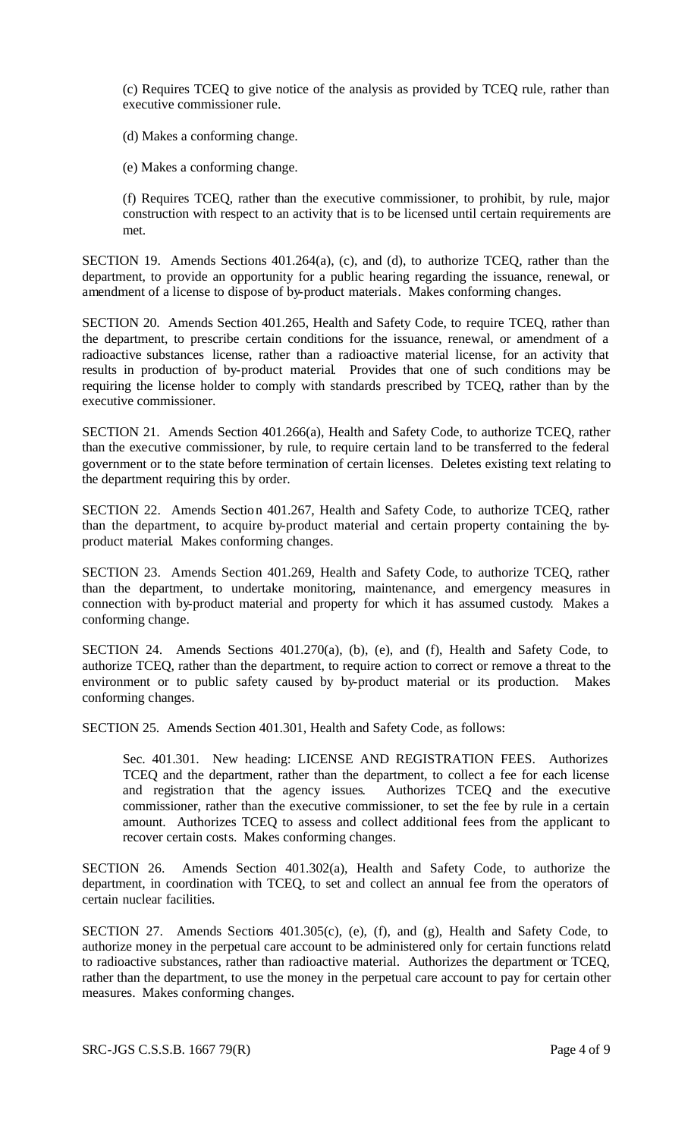(c) Requires TCEQ to give notice of the analysis as provided by TCEQ rule, rather than executive commissioner rule.

(d) Makes a conforming change.

(e) Makes a conforming change.

(f) Requires TCEQ, rather than the executive commissioner, to prohibit, by rule, major construction with respect to an activity that is to be licensed until certain requirements are met.

SECTION 19. Amends Sections 401.264(a), (c), and (d), to authorize TCEQ, rather than the department, to provide an opportunity for a public hearing regarding the issuance, renewal, or amendment of a license to dispose of by-product materials. Makes conforming changes.

SECTION 20. Amends Section 401.265, Health and Safety Code, to require TCEQ, rather than the department, to prescribe certain conditions for the issuance, renewal, or amendment of a radioactive substances license, rather than a radioactive material license, for an activity that results in production of by-product material. Provides that one of such conditions may be requiring the license holder to comply with standards prescribed by TCEQ, rather than by the executive commissioner.

SECTION 21. Amends Section 401.266(a), Health and Safety Code, to authorize TCEQ, rather than the executive commissioner, by rule, to require certain land to be transferred to the federal government or to the state before termination of certain licenses. Deletes existing text relating to the department requiring this by order.

SECTION 22. Amends Section 401.267, Health and Safety Code, to authorize TCEQ, rather than the department, to acquire by-product material and certain property containing the byproduct material. Makes conforming changes.

SECTION 23. Amends Section 401.269, Health and Safety Code, to authorize TCEQ, rather than the department, to undertake monitoring, maintenance, and emergency measures in connection with by-product material and property for which it has assumed custody. Makes a conforming change.

SECTION 24. Amends Sections 401.270(a), (b), (e), and (f), Health and Safety Code, to authorize TCEQ, rather than the department, to require action to correct or remove a threat to the environment or to public safety caused by by-product material or its production. Makes conforming changes.

SECTION 25. Amends Section 401.301, Health and Safety Code, as follows:

Sec. 401.301. New heading: LICENSE AND REGISTRATION FEES. Authorizes TCEQ and the department, rather than the department, to collect a fee for each license and registration that the agency issues. Authorizes TCEQ and the executive commissioner, rather than the executive commissioner, to set the fee by rule in a certain amount. Authorizes TCEQ to assess and collect additional fees from the applicant to recover certain costs. Makes conforming changes.

SECTION 26. Amends Section 401.302(a), Health and Safety Code, to authorize the department, in coordination with TCEQ, to set and collect an annual fee from the operators of certain nuclear facilities.

SECTION 27. Amends Sections 401.305(c), (e), (f), and (g), Health and Safety Code, to authorize money in the perpetual care account to be administered only for certain functions relatd to radioactive substances, rather than radioactive material. Authorizes the department or TCEQ, rather than the department, to use the money in the perpetual care account to pay for certain other measures. Makes conforming changes.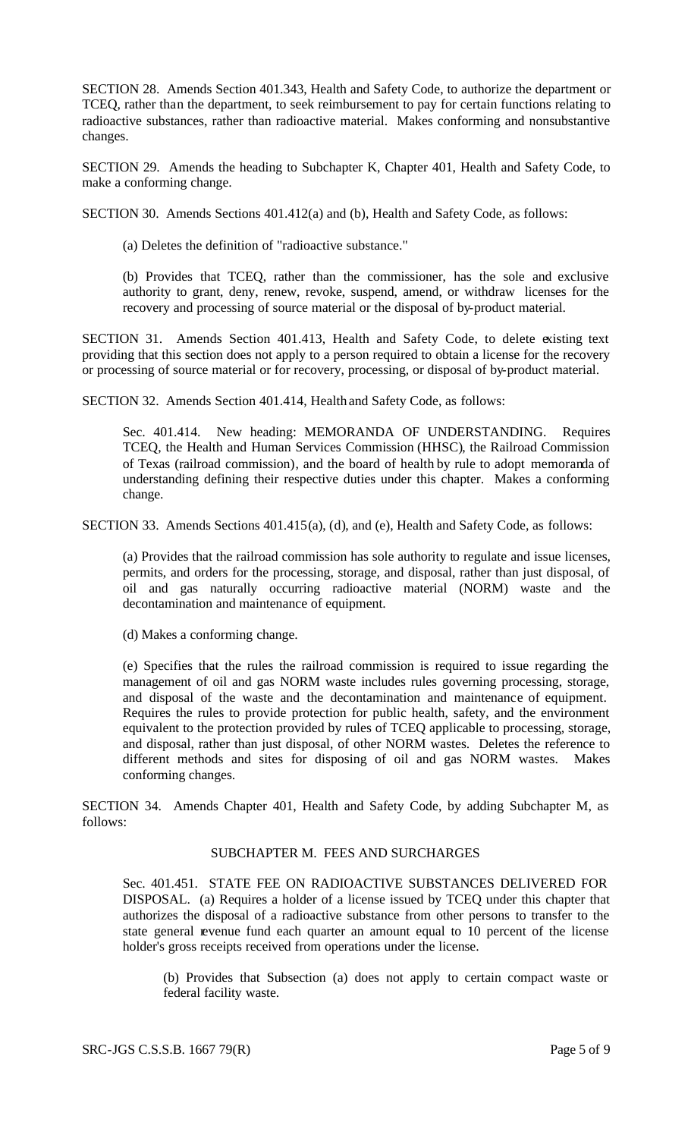SECTION 28. Amends Section 401.343, Health and Safety Code, to authorize the department or TCEQ, rather than the department, to seek reimbursement to pay for certain functions relating to radioactive substances, rather than radioactive material. Makes conforming and nonsubstantive changes.

SECTION 29. Amends the heading to Subchapter K, Chapter 401, Health and Safety Code, to make a conforming change.

SECTION 30. Amends Sections 401.412(a) and (b), Health and Safety Code, as follows:

(a) Deletes the definition of "radioactive substance."

(b) Provides that TCEQ, rather than the commissioner, has the sole and exclusive authority to grant, deny, renew, revoke, suspend, amend, or withdraw licenses for the recovery and processing of source material or the disposal of by-product material.

SECTION 31. Amends Section 401.413, Health and Safety Code, to delete existing text providing that this section does not apply to a person required to obtain a license for the recovery or processing of source material or for recovery, processing, or disposal of by-product material.

SECTION 32. Amends Section 401.414, Health and Safety Code, as follows:

Sec. 401.414. New heading: MEMORANDA OF UNDERSTANDING. Requires TCEQ, the Health and Human Services Commission (HHSC), the Railroad Commission of Texas (railroad commission), and the board of health by rule to adopt memoranda of understanding defining their respective duties under this chapter. Makes a conforming change.

SECTION 33. Amends Sections 401.415(a), (d), and (e), Health and Safety Code, as follows:

(a) Provides that the railroad commission has sole authority to regulate and issue licenses, permits, and orders for the processing, storage, and disposal, rather than just disposal, of oil and gas naturally occurring radioactive material (NORM) waste and the decontamination and maintenance of equipment.

(d) Makes a conforming change.

(e) Specifies that the rules the railroad commission is required to issue regarding the management of oil and gas NORM waste includes rules governing processing, storage, and disposal of the waste and the decontamination and maintenance of equipment. Requires the rules to provide protection for public health, safety, and the environment equivalent to the protection provided by rules of TCEQ applicable to processing, storage, and disposal, rather than just disposal, of other NORM wastes. Deletes the reference to different methods and sites for disposing of oil and gas NORM wastes. Makes conforming changes.

SECTION 34. Amends Chapter 401, Health and Safety Code, by adding Subchapter M, as follows:

## SUBCHAPTER M. FEES AND SURCHARGES

Sec. 401.451. STATE FEE ON RADIOACTIVE SUBSTANCES DELIVERED FOR DISPOSAL. (a) Requires a holder of a license issued by TCEQ under this chapter that authorizes the disposal of a radioactive substance from other persons to transfer to the state general revenue fund each quarter an amount equal to 10 percent of the license holder's gross receipts received from operations under the license.

(b) Provides that Subsection (a) does not apply to certain compact waste or federal facility waste.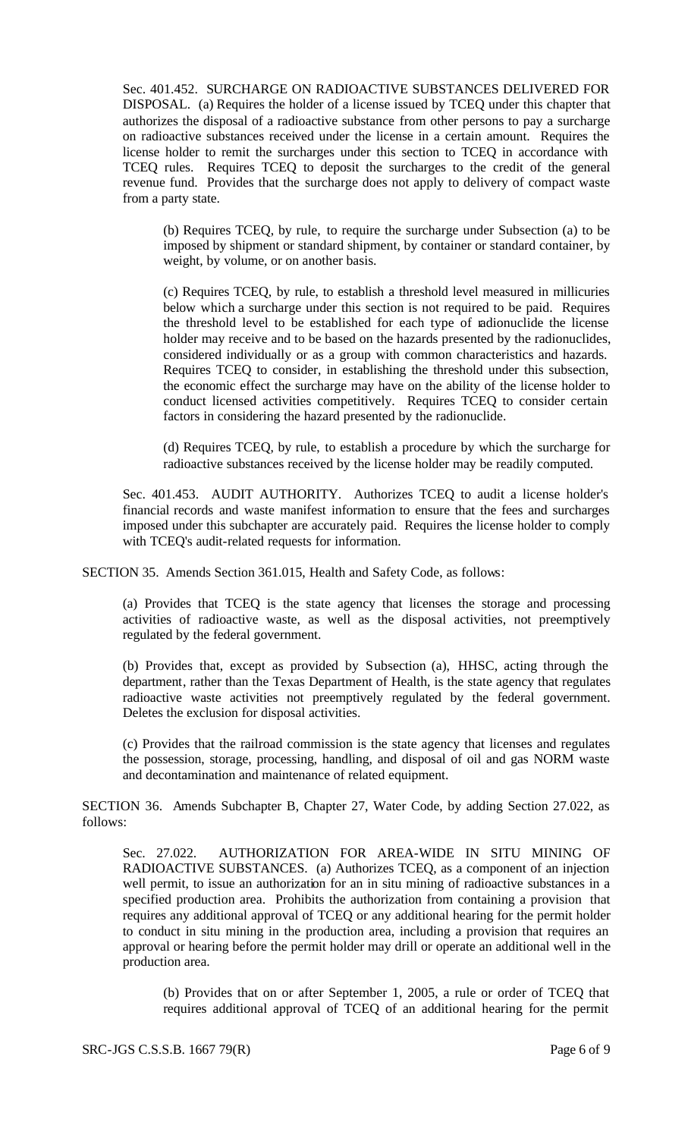Sec. 401.452. SURCHARGE ON RADIOACTIVE SUBSTANCES DELIVERED FOR DISPOSAL. (a) Requires the holder of a license issued by TCEQ under this chapter that authorizes the disposal of a radioactive substance from other persons to pay a surcharge on radioactive substances received under the license in a certain amount. Requires the license holder to remit the surcharges under this section to TCEQ in accordance with TCEQ rules. Requires TCEQ to deposit the surcharges to the credit of the general revenue fund. Provides that the surcharge does not apply to delivery of compact waste from a party state.

(b) Requires TCEQ, by rule, to require the surcharge under Subsection (a) to be imposed by shipment or standard shipment, by container or standard container, by weight, by volume, or on another basis.

(c) Requires TCEQ, by rule, to establish a threshold level measured in millicuries below which a surcharge under this section is not required to be paid. Requires the threshold level to be established for each type of radionuclide the license holder may receive and to be based on the hazards presented by the radionuclides, considered individually or as a group with common characteristics and hazards. Requires TCEQ to consider, in establishing the threshold under this subsection, the economic effect the surcharge may have on the ability of the license holder to conduct licensed activities competitively. Requires TCEQ to consider certain factors in considering the hazard presented by the radionuclide.

(d) Requires TCEQ, by rule, to establish a procedure by which the surcharge for radioactive substances received by the license holder may be readily computed.

Sec. 401.453. AUDIT AUTHORITY. Authorizes TCEQ to audit a license holder's financial records and waste manifest information to ensure that the fees and surcharges imposed under this subchapter are accurately paid. Requires the license holder to comply with TCEQ's audit-related requests for information.

SECTION 35. Amends Section 361.015, Health and Safety Code, as follows:

(a) Provides that TCEQ is the state agency that licenses the storage and processing activities of radioactive waste, as well as the disposal activities, not preemptively regulated by the federal government.

(b) Provides that, except as provided by Subsection (a), HHSC, acting through the department, rather than the Texas Department of Health, is the state agency that regulates radioactive waste activities not preemptively regulated by the federal government. Deletes the exclusion for disposal activities.

(c) Provides that the railroad commission is the state agency that licenses and regulates the possession, storage, processing, handling, and disposal of oil and gas NORM waste and decontamination and maintenance of related equipment.

SECTION 36. Amends Subchapter B, Chapter 27, Water Code, by adding Section 27.022, as follows:

Sec. 27.022. AUTHORIZATION FOR AREA-WIDE IN SITU MINING OF RADIOACTIVE SUBSTANCES. (a) Authorizes TCEQ, as a component of an injection well permit, to issue an authorization for an in situ mining of radioactive substances in a specified production area. Prohibits the authorization from containing a provision that requires any additional approval of TCEQ or any additional hearing for the permit holder to conduct in situ mining in the production area, including a provision that requires an approval or hearing before the permit holder may drill or operate an additional well in the production area.

(b) Provides that on or after September 1, 2005, a rule or order of TCEQ that requires additional approval of TCEQ of an additional hearing for the permit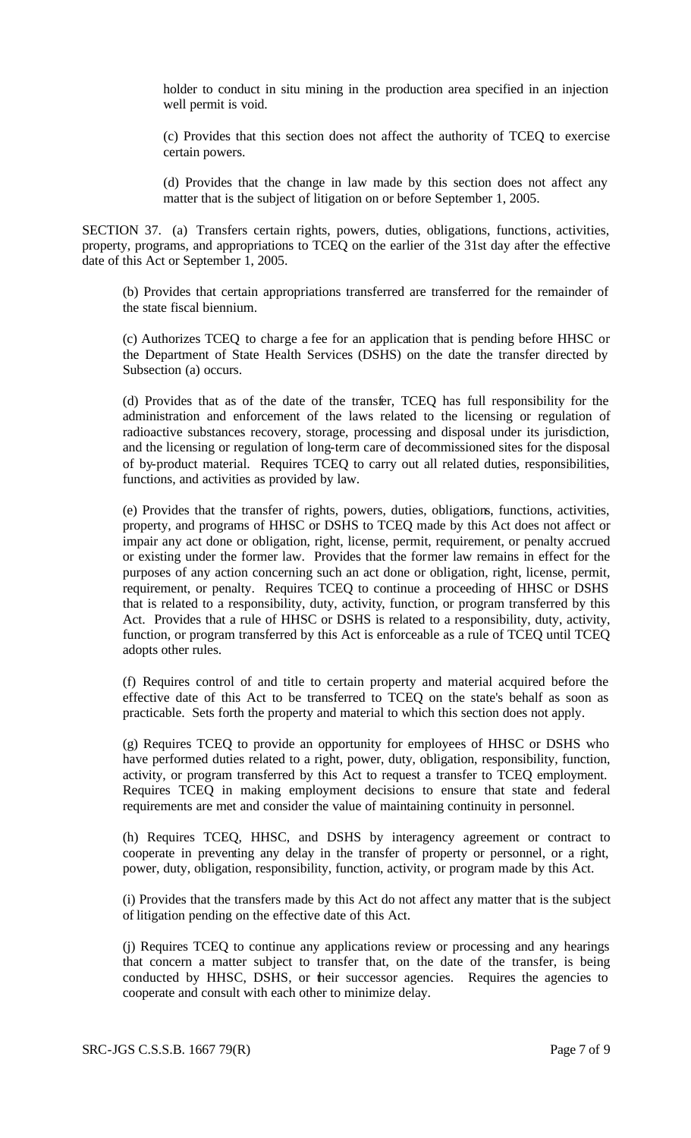holder to conduct in situ mining in the production area specified in an injection well permit is void.

(c) Provides that this section does not affect the authority of TCEQ to exercise certain powers.

(d) Provides that the change in law made by this section does not affect any matter that is the subject of litigation on or before September 1, 2005.

SECTION 37. (a) Transfers certain rights, powers, duties, obligations, functions, activities, property, programs, and appropriations to TCEQ on the earlier of the 31st day after the effective date of this Act or September 1, 2005.

(b) Provides that certain appropriations transferred are transferred for the remainder of the state fiscal biennium.

(c) Authorizes TCEQ to charge a fee for an application that is pending before HHSC or the Department of State Health Services (DSHS) on the date the transfer directed by Subsection (a) occurs.

(d) Provides that as of the date of the transfer, TCEQ has full responsibility for the administration and enforcement of the laws related to the licensing or regulation of radioactive substances recovery, storage, processing and disposal under its jurisdiction, and the licensing or regulation of long-term care of decommissioned sites for the disposal of by-product material. Requires TCEQ to carry out all related duties, responsibilities, functions, and activities as provided by law.

(e) Provides that the transfer of rights, powers, duties, obligations, functions, activities, property, and programs of HHSC or DSHS to TCEQ made by this Act does not affect or impair any act done or obligation, right, license, permit, requirement, or penalty accrued or existing under the former law. Provides that the former law remains in effect for the purposes of any action concerning such an act done or obligation, right, license, permit, requirement, or penalty. Requires TCEQ to continue a proceeding of HHSC or DSHS that is related to a responsibility, duty, activity, function, or program transferred by this Act. Provides that a rule of HHSC or DSHS is related to a responsibility, duty, activity, function, or program transferred by this Act is enforceable as a rule of TCEQ until TCEQ adopts other rules.

(f) Requires control of and title to certain property and material acquired before the effective date of this Act to be transferred to TCEQ on the state's behalf as soon as practicable. Sets forth the property and material to which this section does not apply.

(g) Requires TCEQ to provide an opportunity for employees of HHSC or DSHS who have performed duties related to a right, power, duty, obligation, responsibility, function, activity, or program transferred by this Act to request a transfer to TCEQ employment. Requires TCEQ in making employment decisions to ensure that state and federal requirements are met and consider the value of maintaining continuity in personnel.

(h) Requires TCEQ, HHSC, and DSHS by interagency agreement or contract to cooperate in preventing any delay in the transfer of property or personnel, or a right, power, duty, obligation, responsibility, function, activity, or program made by this Act.

(i) Provides that the transfers made by this Act do not affect any matter that is the subject of litigation pending on the effective date of this Act.

(j) Requires TCEQ to continue any applications review or processing and any hearings that concern a matter subject to transfer that, on the date of the transfer, is being conducted by HHSC, DSHS, or their successor agencies. Requires the agencies to cooperate and consult with each other to minimize delay.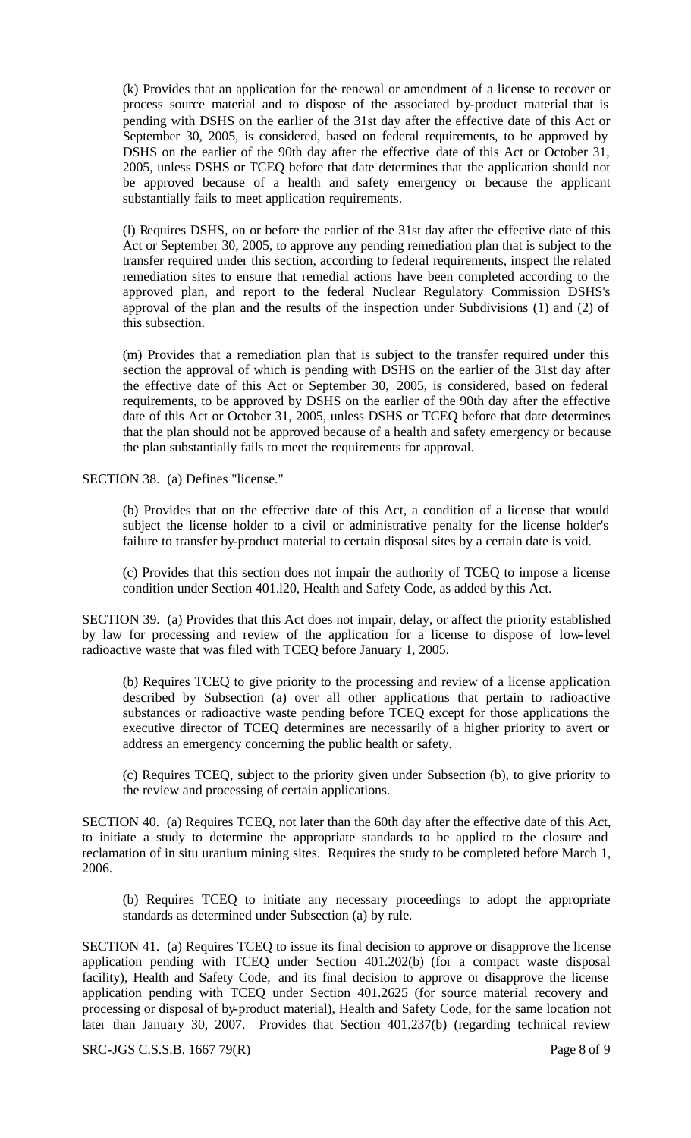(k) Provides that an application for the renewal or amendment of a license to recover or process source material and to dispose of the associated by-product material that is pending with DSHS on the earlier of the 31st day after the effective date of this Act or September 30, 2005, is considered, based on federal requirements, to be approved by DSHS on the earlier of the 90th day after the effective date of this Act or October 31, 2005, unless DSHS or TCEQ before that date determines that the application should not be approved because of a health and safety emergency or because the applicant substantially fails to meet application requirements.

(l) Requires DSHS, on or before the earlier of the 31st day after the effective date of this Act or September 30, 2005, to approve any pending remediation plan that is subject to the transfer required under this section, according to federal requirements, inspect the related remediation sites to ensure that remedial actions have been completed according to the approved plan, and report to the federal Nuclear Regulatory Commission DSHS's approval of the plan and the results of the inspection under Subdivisions (1) and (2) of this subsection.

(m) Provides that a remediation plan that is subject to the transfer required under this section the approval of which is pending with DSHS on the earlier of the 31st day after the effective date of this Act or September 30, 2005, is considered, based on federal requirements, to be approved by DSHS on the earlier of the 90th day after the effective date of this Act or October 31, 2005, unless DSHS or TCEQ before that date determines that the plan should not be approved because of a health and safety emergency or because the plan substantially fails to meet the requirements for approval.

SECTION 38. (a) Defines "license."

(b) Provides that on the effective date of this Act, a condition of a license that would subject the license holder to a civil or administrative penalty for the license holder's failure to transfer by-product material to certain disposal sites by a certain date is void.

(c) Provides that this section does not impair the authority of TCEQ to impose a license condition under Section 401.l20, Health and Safety Code, as added by this Act.

SECTION 39. (a) Provides that this Act does not impair, delay, or affect the priority established by law for processing and review of the application for a license to dispose of low-level radioactive waste that was filed with TCEQ before January 1, 2005.

(b) Requires TCEQ to give priority to the processing and review of a license application described by Subsection (a) over all other applications that pertain to radioactive substances or radioactive waste pending before TCEQ except for those applications the executive director of TCEQ determines are necessarily of a higher priority to avert or address an emergency concerning the public health or safety.

(c) Requires TCEQ, subject to the priority given under Subsection (b), to give priority to the review and processing of certain applications.

SECTION 40. (a) Requires TCEQ, not later than the 60th day after the effective date of this Act, to initiate a study to determine the appropriate standards to be applied to the closure and reclamation of in situ uranium mining sites. Requires the study to be completed before March 1, 2006.

(b) Requires TCEQ to initiate any necessary proceedings to adopt the appropriate standards as determined under Subsection (a) by rule.

SECTION 41. (a) Requires TCEQ to issue its final decision to approve or disapprove the license application pending with TCEQ under Section 401.202(b) (for a compact waste disposal facility), Health and Safety Code, and its final decision to approve or disapprove the license application pending with TCEQ under Section 401.2625 (for source material recovery and processing or disposal of by-product material), Health and Safety Code, for the same location not later than January 30, 2007. Provides that Section 401.237(b) (regarding technical review

SRC-JGS C.S.S.B. 1667 79(R) Page 8 of 9